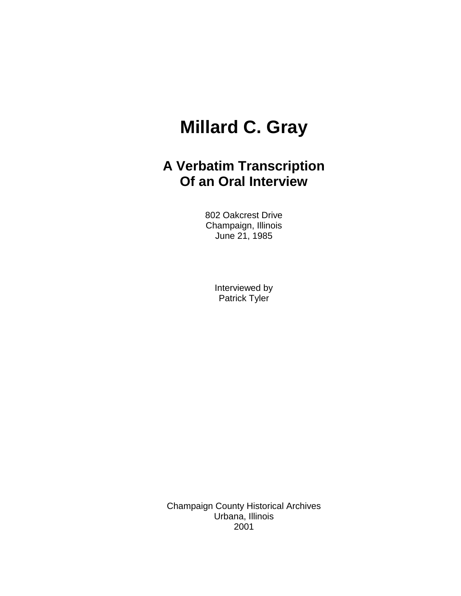## **Millard C. Gray**

## **A Verbatim Transcription Of an Oral Interview**

802 Oakcrest Drive Champaign, Illinois June 21, 1985

> Interviewed by Patrick Tyler

Champaign County Historical Archives Urbana, Illinois 2001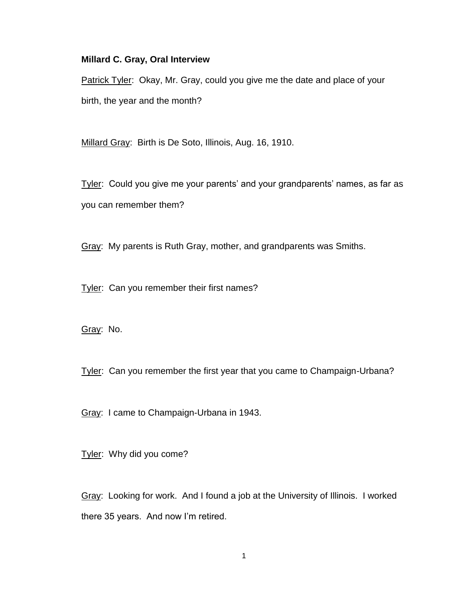## **Millard C. Gray, Oral Interview**

Patrick Tyler: Okay, Mr. Gray, could you give me the date and place of your birth, the year and the month?

Millard Gray: Birth is De Soto, Illinois, Aug. 16, 1910.

Tyler: Could you give me your parents' and your grandparents' names, as far as you can remember them?

Gray: My parents is Ruth Gray, mother, and grandparents was Smiths.

Tyler: Can you remember their first names?

Gray: No.

Tyler: Can you remember the first year that you came to Champaign-Urbana?

Gray: I came to Champaign-Urbana in 1943.

Tyler: Why did you come?

Gray: Looking for work. And I found a job at the University of Illinois. I worked there 35 years. And now I'm retired.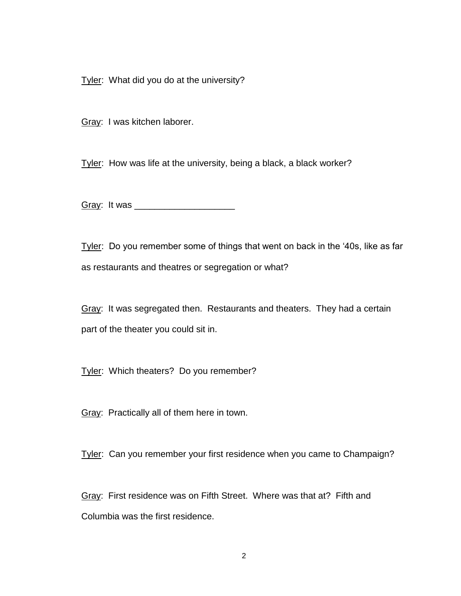Tyler: What did you do at the university?

Gray: I was kitchen laborer.

Tyler: How was life at the university, being a black, a black worker?

Gray: It was \_\_\_\_\_\_\_\_\_\_\_\_\_\_\_\_\_\_\_\_

Tyler: Do you remember some of things that went on back in the '40s, like as far as restaurants and theatres or segregation or what?

Gray: It was segregated then. Restaurants and theaters. They had a certain part of the theater you could sit in.

Tyler: Which theaters? Do you remember?

Gray: Practically all of them here in town.

Tyler: Can you remember your first residence when you came to Champaign?

Gray: First residence was on Fifth Street. Where was that at? Fifth and Columbia was the first residence.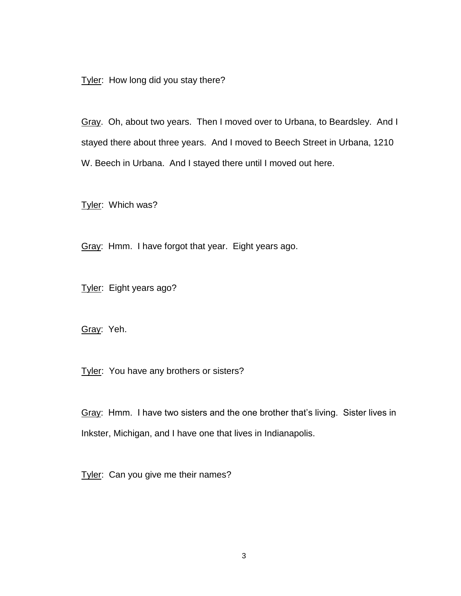Tyler: How long did you stay there?

Gray. Oh, about two years. Then I moved over to Urbana, to Beardsley. And I stayed there about three years. And I moved to Beech Street in Urbana, 1210 W. Beech in Urbana. And I stayed there until I moved out here.

Tyler: Which was?

Gray: Hmm. I have forgot that year. Eight years ago.

Tyler: Eight years ago?

Gray: Yeh.

Tyler: You have any brothers or sisters?

Gray: Hmm. I have two sisters and the one brother that's living. Sister lives in Inkster, Michigan, and I have one that lives in Indianapolis.

Tyler: Can you give me their names?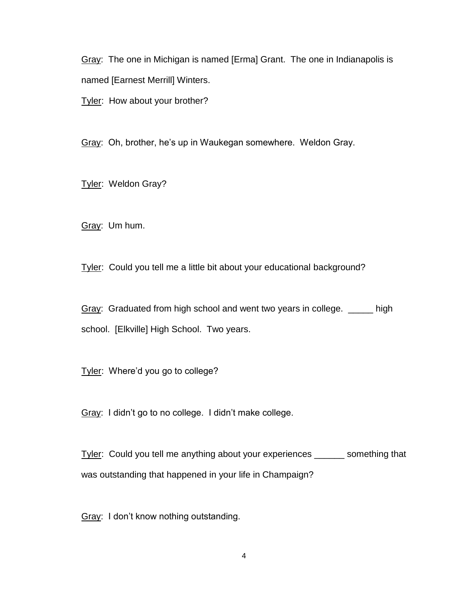Gray: The one in Michigan is named [Erma] Grant. The one in Indianapolis is named [Earnest Merrill] Winters.

Tyler: How about your brother?

Gray: Oh, brother, he's up in Waukegan somewhere. Weldon Gray.

Tyler: Weldon Gray?

Gray: Um hum.

Tyler: Could you tell me a little bit about your educational background?

Gray: Graduated from high school and went two years in college. \_\_\_\_\_ high school. [Elkville] High School. Two years.

Tyler: Where'd you go to college?

Gray: I didn't go to no college. I didn't make college.

Tyler: Could you tell me anything about your experiences \_\_\_\_\_\_ something that was outstanding that happened in your life in Champaign?

Gray: I don't know nothing outstanding.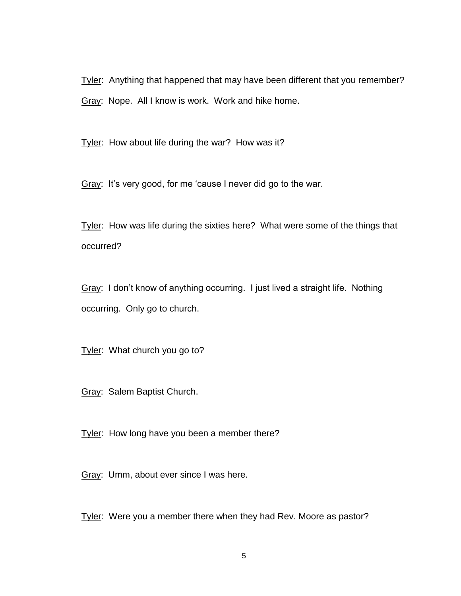Tyler: Anything that happened that may have been different that you remember? Gray: Nope. All I know is work. Work and hike home.

Tyler: How about life during the war? How was it?

Gray: It's very good, for me 'cause I never did go to the war.

Tyler: How was life during the sixties here? What were some of the things that occurred?

Gray: I don't know of anything occurring. I just lived a straight life. Nothing occurring. Only go to church.

Tyler: What church you go to?

Gray: Salem Baptist Church.

Tyler: How long have you been a member there?

Gray: Umm, about ever since I was here.

Tyler: Were you a member there when they had Rev. Moore as pastor?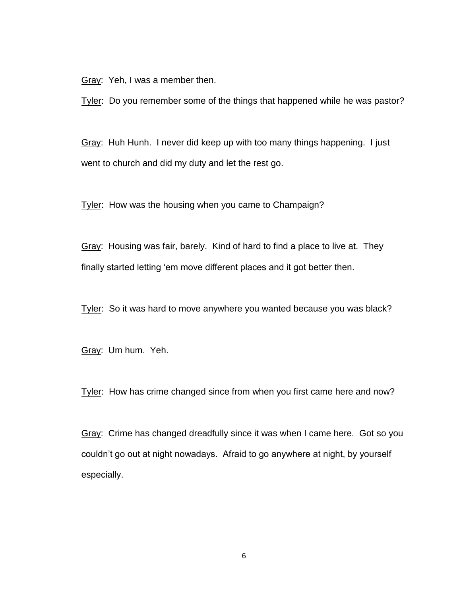Gray: Yeh, I was a member then.

Tyler: Do you remember some of the things that happened while he was pastor?

Gray: Huh Hunh. I never did keep up with too many things happening. I just went to church and did my duty and let the rest go.

Tyler: How was the housing when you came to Champaign?

Gray: Housing was fair, barely. Kind of hard to find a place to live at. They finally started letting 'em move different places and it got better then.

Tyler: So it was hard to move anywhere you wanted because you was black?

Gray: Um hum. Yeh.

Tyler: How has crime changed since from when you first came here and now?

Gray: Crime has changed dreadfully since it was when I came here. Got so you couldn't go out at night nowadays. Afraid to go anywhere at night, by yourself especially.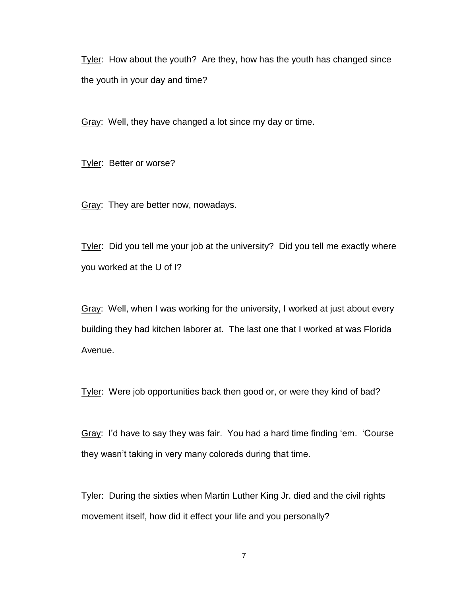Tyler: How about the youth? Are they, how has the youth has changed since the youth in your day and time?

Gray: Well, they have changed a lot since my day or time.

Tyler: Better or worse?

Gray: They are better now, nowadays.

Tyler: Did you tell me your job at the university? Did you tell me exactly where you worked at the U of I?

Gray: Well, when I was working for the university, I worked at just about every building they had kitchen laborer at. The last one that I worked at was Florida Avenue.

Tyler: Were job opportunities back then good or, or were they kind of bad?

Gray: I'd have to say they was fair. You had a hard time finding 'em. 'Course they wasn't taking in very many coloreds during that time.

Tyler: During the sixties when Martin Luther King Jr. died and the civil rights movement itself, how did it effect your life and you personally?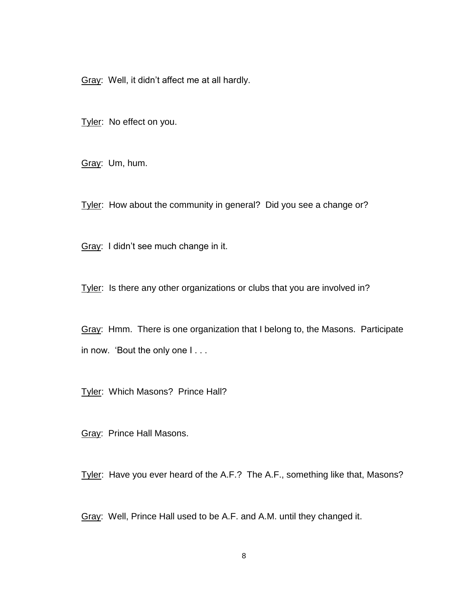Gray: Well, it didn't affect me at all hardly.

Tyler: No effect on you.

Gray: Um, hum.

Tyler: How about the community in general? Did you see a change or?

Gray: I didn't see much change in it.

Tyler: Is there any other organizations or clubs that you are involved in?

Gray: Hmm. There is one organization that I belong to, the Masons. Participate in now. 'Bout the only one I . . .

Tyler: Which Masons? Prince Hall?

Gray: Prince Hall Masons.

Tyler: Have you ever heard of the A.F.? The A.F., something like that, Masons?

Gray: Well, Prince Hall used to be A.F. and A.M. until they changed it.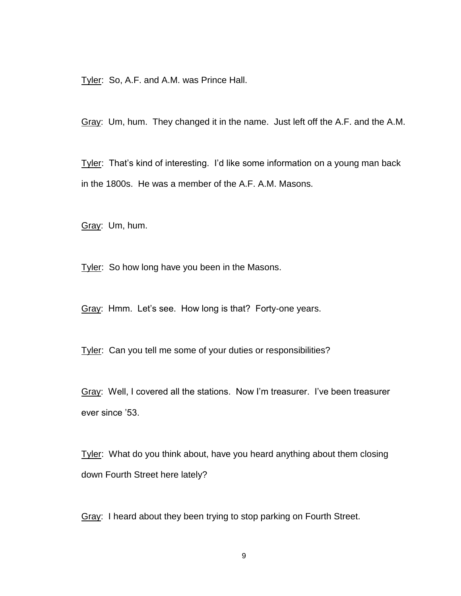Tyler: So, A.F. and A.M. was Prince Hall.

Gray: Um, hum. They changed it in the name. Just left off the A.F. and the A.M.

Tyler: That's kind of interesting. I'd like some information on a young man back in the 1800s. He was a member of the A.F. A.M. Masons.

Gray: Um, hum.

Tyler: So how long have you been in the Masons.

Gray: Hmm. Let's see. How long is that? Forty-one years.

Tyler: Can you tell me some of your duties or responsibilities?

Gray: Well, I covered all the stations. Now I'm treasurer. I've been treasurer ever since '53.

Tyler: What do you think about, have you heard anything about them closing down Fourth Street here lately?

Gray: I heard about they been trying to stop parking on Fourth Street.